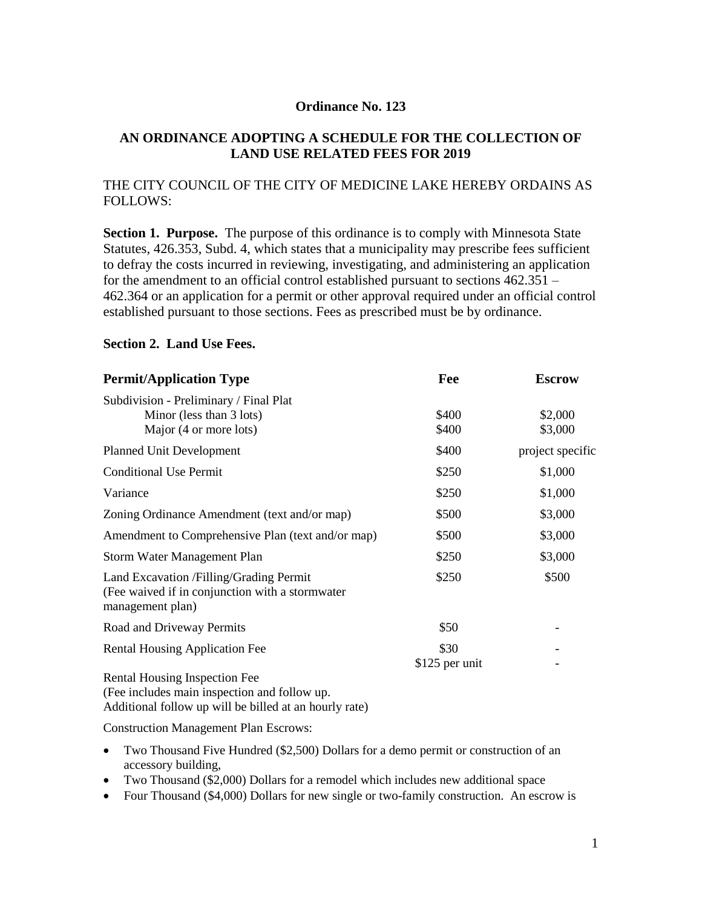#### **Ordinance No. 123**

## **AN ORDINANCE ADOPTING A SCHEDULE FOR THE COLLECTION OF LAND USE RELATED FEES FOR 2019**

### THE CITY COUNCIL OF THE CITY OF MEDICINE LAKE HEREBY ORDAINS AS FOLLOWS:

**Section 1. Purpose.** The purpose of this ordinance is to comply with Minnesota State Statutes, 426.353, Subd. 4, which states that a municipality may prescribe fees sufficient to defray the costs incurred in reviewing, investigating, and administering an application for the amendment to an official control established pursuant to sections 462.351 – 462.364 or an application for a permit or other approval required under an official control established pursuant to those sections. Fees as prescribed must be by ordinance.

#### **Section 2. Land Use Fees.**

| <b>Permit/Application Type</b>                                                                                   | Fee                    | <b>Escrow</b>      |
|------------------------------------------------------------------------------------------------------------------|------------------------|--------------------|
| Subdivision - Preliminary / Final Plat<br>Minor (less than 3 lots)<br>Major (4 or more lots)                     | \$400<br>\$400         | \$2,000<br>\$3,000 |
| <b>Planned Unit Development</b>                                                                                  | \$400                  | project specific   |
| <b>Conditional Use Permit</b>                                                                                    | \$250                  | \$1,000            |
| Variance                                                                                                         | \$250                  | \$1,000            |
| Zoning Ordinance Amendment (text and/or map)                                                                     | \$500                  | \$3,000            |
| Amendment to Comprehensive Plan (text and/or map)                                                                | \$500                  | \$3,000            |
| Storm Water Management Plan                                                                                      | \$250                  | \$3,000            |
| Land Excavation / Filling/Grading Permit<br>(Fee waived if in conjunction with a stormwater)<br>management plan) | \$250                  | \$500              |
| Road and Driveway Permits                                                                                        | \$50                   |                    |
| <b>Rental Housing Application Fee</b>                                                                            | \$30<br>\$125 per unit |                    |
| Rental Housing Inspection Fee                                                                                    |                        |                    |

(Fee includes main inspection and follow up. Additional follow up will be billed at an hourly rate)

Construction Management Plan Escrows:

- Two Thousand Five Hundred (\$2,500) Dollars for a demo permit or construction of an accessory building,
- Two Thousand (\$2,000) Dollars for a remodel which includes new additional space
- Four Thousand (\$4,000) Dollars for new single or two-family construction. An escrow is